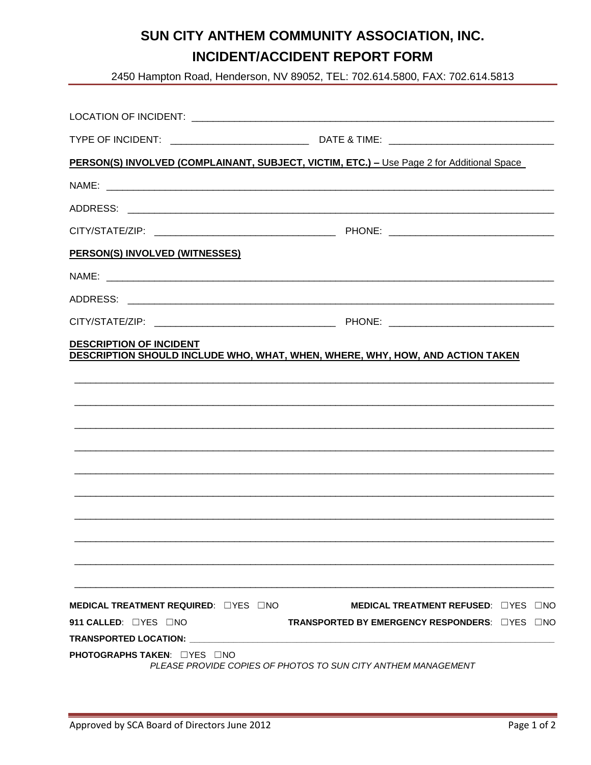## SUN CITY ANTHEM COMMUNITY ASSOCIATION, INC. **INCIDENT/ACCIDENT REPORT FORM**

2450 Hampton Road, Henderson, NV 89052, TEL: 702.614.5800, FAX: 702.614.5813

| PERSON(S) INVOLVED (COMPLAINANT, SUBJECT, VICTIM, ETC.) - Use Page 2 for Additional Space |                                                               |  |
|-------------------------------------------------------------------------------------------|---------------------------------------------------------------|--|
|                                                                                           | NAME:                                                         |  |
|                                                                                           |                                                               |  |
|                                                                                           |                                                               |  |
| PERSON(S) INVOLVED (WITNESSES)                                                            |                                                               |  |
|                                                                                           |                                                               |  |
|                                                                                           |                                                               |  |
|                                                                                           |                                                               |  |
|                                                                                           |                                                               |  |
|                                                                                           |                                                               |  |
|                                                                                           |                                                               |  |
| MEDICAL TREATMENT REQUIRED: UYES UNO                                                      | <b>MEDICAL TREATMENT REFUSED: UYES UNO</b>                    |  |
| 911 CALLED: $\Box$ YES $\Box$ NO                                                          | <b>TRANSPORTED BY EMERGENCY RESPONDERS: ITTES INO</b>         |  |
| TRANSPORTED LOCATION:                                                                     |                                                               |  |
| <b>PHOTOGRAPHS TAKEN: EYES ENO</b>                                                        | PLEASE PROVIDE COPIES OF PHOTOS TO SUN CITY ANTHEM MANAGEMENT |  |